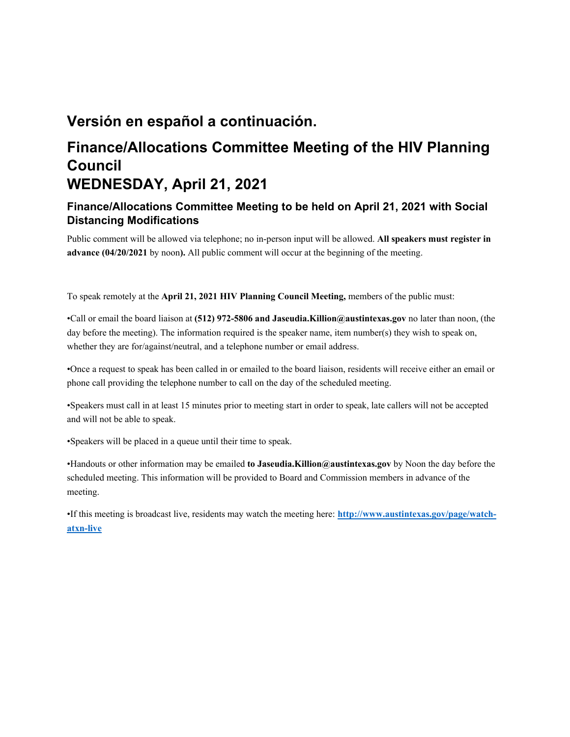# **Versión en español a continuación.**

# **Finance/Allocations Committee Meeting of the HIV Planning Council WEDNESDAY, April 21, 2021**

# **Finance/Allocations Committee Meeting to be held on April 21, 2021 with Social Distancing Modifications**

Public comment will be allowed via telephone; no in-person input will be allowed. **All speakers must register in advance (04/20/2021** by noon**).** All public comment will occur at the beginning of the meeting.

To speak remotely at the **April 21, 2021 HIV Planning Council Meeting,** members of the public must:

•Call or email the board liaison at **(512) 972-5806 and Jaseudia.Killion@austintexas.gov** no later than noon, (the day before the meeting). The information required is the speaker name, item number(s) they wish to speak on, whether they are for/against/neutral, and a telephone number or email address.

•Once a request to speak has been called in or emailed to the board liaison, residents will receive either an email or phone call providing the telephone number to call on the day of the scheduled meeting.

•Speakers must call in at least 15 minutes prior to meeting start in order to speak, late callers will not be accepted and will not be able to speak.

•Speakers will be placed in a queue until their time to speak.

•Handouts or other information may be emailed **to Jaseudia.Killion@austintexas.gov** by Noon the day before the scheduled meeting. This information will be provided to Board and Commission members in advance of the meeting.

•If this meeting is broadcast live, residents may watch the meeting here: **http://www.austintexas.gov/page/watchatxn-live**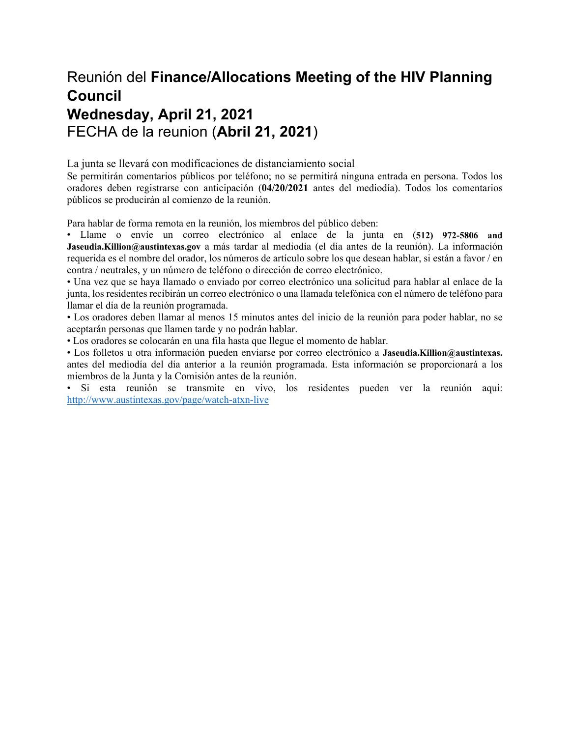# Reunión del **Finance/Allocations Meeting of the HIV Planning Council Wednesday, April 21, 2021**  FECHA de la reunion (**Abril 21, 2021**)

La junta se llevará con modificaciones de distanciamiento social

Se permitirán comentarios públicos por teléfono; no se permitirá ninguna entrada en persona. Todos los oradores deben registrarse con anticipación (**04/20/2021** antes del mediodía). Todos los comentarios públicos se producirán al comienzo de la reunión.

Para hablar de forma remota en la reunión, los miembros del público deben:

• Llame o envíe un correo electrónico al enlace de la junta en (**512) 972-5806 and Jaseudia.Killion@austintexas.gov** a más tardar al mediodía (el día antes de la reunión). La información requerida es el nombre del orador, los números de artículo sobre los que desean hablar, si están a favor / en contra / neutrales, y un número de teléfono o dirección de correo electrónico.

• Una vez que se haya llamado o enviado por correo electrónico una solicitud para hablar al enlace de la junta, los residentes recibirán un correo electrónico o una llamada telefónica con el número de teléfono para llamar el día de la reunión programada.

• Los oradores deben llamar al menos 15 minutos antes del inicio de la reunión para poder hablar, no se aceptarán personas que llamen tarde y no podrán hablar.

• Los oradores se colocarán en una fila hasta que llegue el momento de hablar.

• Los folletos u otra información pueden enviarse por correo electrónico a **Jaseudia.Killion@austintexas.** antes del mediodía del día anterior a la reunión programada. Esta información se proporcionará a los miembros de la Junta y la Comisión antes de la reunión.

• Si esta reunión se transmite en vivo, los residentes pueden ver la reunión aquí: http://www.austintexas.gov/page/watch-atxn-live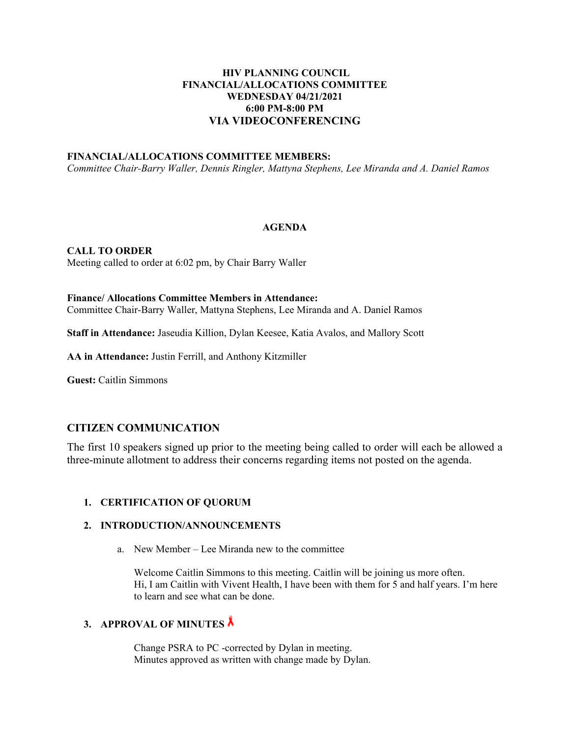### **HIV PLANNING COUNCIL FINANCIAL/ALLOCATIONS COMMITTEE WEDNESDAY 04/21/2021 6:00 PM-8:00 PM VIA VIDEOCONFERENCING**

#### **FINANCIAL/ALLOCATIONS COMMITTEE MEMBERS:**

*Committee Chair-Barry Waller, Dennis Ringler, Mattyna Stephens, Lee Miranda and A. Daniel Ramos* 

#### **AGENDA**

**CALL TO ORDER**  Meeting called to order at 6:02 pm, by Chair Barry Waller

### **Finance/ Allocations Committee Members in Attendance:**  Committee Chair-Barry Waller, Mattyna Stephens, Lee Miranda and A. Daniel Ramos

**Staff in Attendance:** Jaseudia Killion, Dylan Keesee, Katia Avalos, and Mallory Scott

**AA in Attendance:** Justin Ferrill, and Anthony Kitzmiller

**Guest:** Caitlin Simmons

## **CITIZEN COMMUNICATION**

The first 10 speakers signed up prior to the meeting being called to order will each be allowed a three-minute allotment to address their concerns regarding items not posted on the agenda.

#### **1. CERTIFICATION OF QUORUM**

#### **2. INTRODUCTION/ANNOUNCEMENTS**

a. New Member – Lee Miranda new to the committee

Welcome Caitlin Simmons to this meeting. Caitlin will be joining us more often. Hi, I am Caitlin with Vivent Health, I have been with them for 5 and half years. I'm here to learn and see what can be done.

## **3. APPROVAL OF MINUTES**

Change PSRA to PC -corrected by Dylan in meeting. Minutes approved as written with change made by Dylan.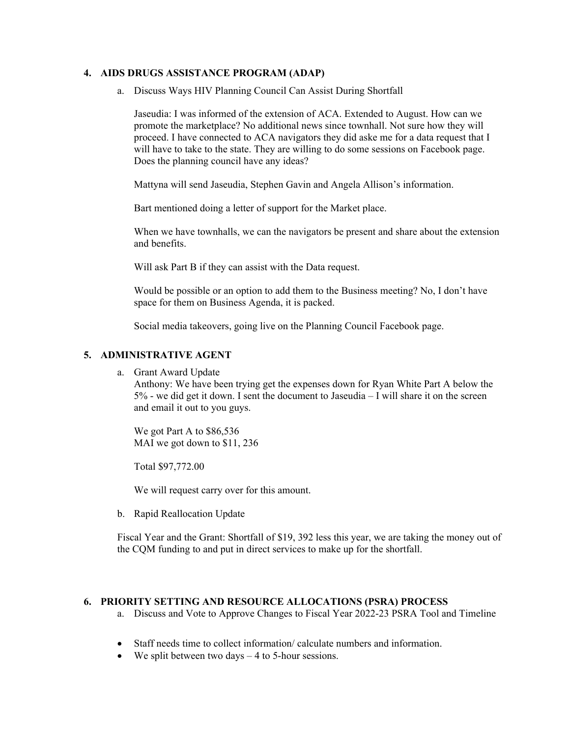#### **4. AIDS DRUGS ASSISTANCE PROGRAM (ADAP)**

a. Discuss Ways HIV Planning Council Can Assist During Shortfall

Jaseudia: I was informed of the extension of ACA. Extended to August. How can we promote the marketplace? No additional news since townhall. Not sure how they will proceed. I have connected to ACA navigators they did aske me for a data request that I will have to take to the state. They are willing to do some sessions on Facebook page. Does the planning council have any ideas?

Mattyna will send Jaseudia, Stephen Gavin and Angela Allison's information.

Bart mentioned doing a letter of support for the Market place.

When we have townhalls, we can the navigators be present and share about the extension and benefits.

Will ask Part B if they can assist with the Data request.

Would be possible or an option to add them to the Business meeting? No, I don't have space for them on Business Agenda, it is packed.

Social media takeovers, going live on the Planning Council Facebook page.

#### **5. ADMINISTRATIVE AGENT**

a. Grant Award Update

Anthony: We have been trying get the expenses down for Ryan White Part A below the  $5\%$  - we did get it down. I sent the document to Jaseudia  $-1$  will share it on the screen and email it out to you guys.

We got Part A to \$86,536 MAI we got down to \$11, 236

Total \$97,772.00

We will request carry over for this amount.

b. Rapid Reallocation Update

Fiscal Year and the Grant: Shortfall of \$19, 392 less this year, we are taking the money out of the CQM funding to and put in direct services to make up for the shortfall.

#### **6. PRIORITY SETTING AND RESOURCE ALLOCATIONS (PSRA) PROCESS**

- a. Discuss and Vote to Approve Changes to Fiscal Year 2022-23 PSRA Tool and Timeline
- Staff needs time to collect information/ calculate numbers and information.
- $\bullet$  We split between two days  $-4$  to 5-hour sessions.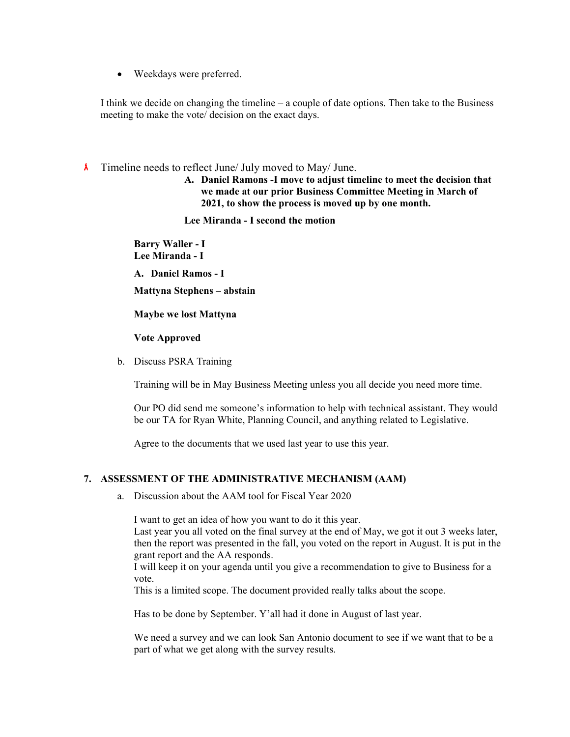Weekdays were preferred.

I think we decide on changing the timeline – a couple of date options. Then take to the Business meeting to make the vote/ decision on the exact days.

- $\lambda$  Timeline needs to reflect June/ July moved to May/ June.
	- **A. Daniel Ramons -I move to adjust timeline to meet the decision that we made at our prior Business Committee Meeting in March of 2021, to show the process is moved up by one month.**

**Lee Miranda - I second the motion** 

**Barry Waller - I Lee Miranda - I** 

**A. Daniel Ramos - I** 

**Mattyna Stephens – abstain** 

#### **Maybe we lost Mattyna**

#### **Vote Approved**

b. Discuss PSRA Training

Training will be in May Business Meeting unless you all decide you need more time.

Our PO did send me someone's information to help with technical assistant. They would be our TA for Ryan White, Planning Council, and anything related to Legislative.

Agree to the documents that we used last year to use this year.

## **7. ASSESSMENT OF THE ADMINISTRATIVE MECHANISM (AAM)**

a. Discussion about the AAM tool for Fiscal Year 2020

I want to get an idea of how you want to do it this year.

Last year you all voted on the final survey at the end of May, we got it out 3 weeks later, then the report was presented in the fall, you voted on the report in August. It is put in the grant report and the AA responds.

I will keep it on your agenda until you give a recommendation to give to Business for a vote.

This is a limited scope. The document provided really talks about the scope.

Has to be done by September. Y'all had it done in August of last year.

We need a survey and we can look San Antonio document to see if we want that to be a part of what we get along with the survey results.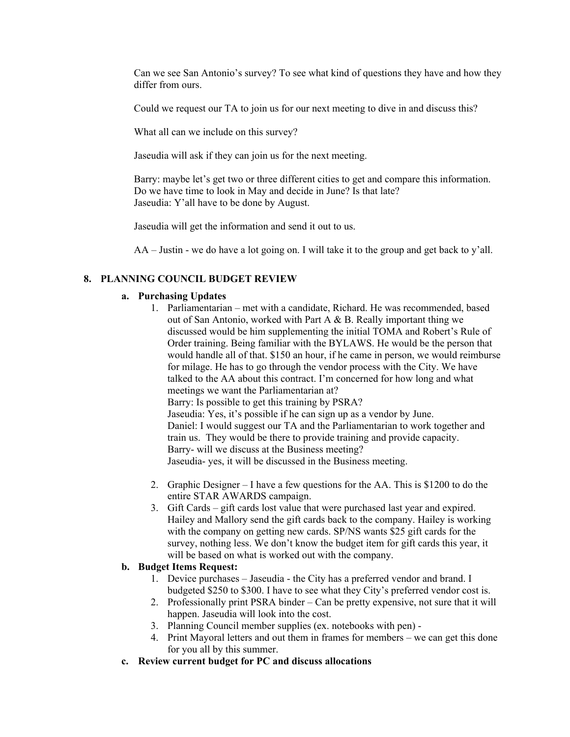Can we see San Antonio's survey? To see what kind of questions they have and how they differ from ours.

Could we request our TA to join us for our next meeting to dive in and discuss this?

What all can we include on this survey?

Jaseudia will ask if they can join us for the next meeting.

Barry: maybe let's get two or three different cities to get and compare this information. Do we have time to look in May and decide in June? Is that late? Jaseudia: Y'all have to be done by August.

Jaseudia will get the information and send it out to us.

AA – Justin - we do have a lot going on. I will take it to the group and get back to y'all.

#### **8. PLANNING COUNCIL BUDGET REVIEW**

#### **a. Purchasing Updates**

- 1. Parliamentarian met with a candidate, Richard. He was recommended, based out of San Antonio, worked with Part A & B. Really important thing we discussed would be him supplementing the initial TOMA and Robert's Rule of Order training. Being familiar with the BYLAWS. He would be the person that would handle all of that. \$150 an hour, if he came in person, we would reimburse for milage. He has to go through the vendor process with the City. We have talked to the AA about this contract. I'm concerned for how long and what meetings we want the Parliamentarian at? Barry: Is possible to get this training by PSRA? Jaseudia: Yes, it's possible if he can sign up as a vendor by June. Daniel: I would suggest our TA and the Parliamentarian to work together and train us. They would be there to provide training and provide capacity. Barry- will we discuss at the Business meeting? Jaseudia- yes, it will be discussed in the Business meeting.
- 2. Graphic Designer I have a few questions for the AA. This is \$1200 to do the entire STAR AWARDS campaign.
- 3. Gift Cards gift cards lost value that were purchased last year and expired. Hailey and Mallory send the gift cards back to the company. Hailey is working with the company on getting new cards. SP/NS wants \$25 gift cards for the survey, nothing less. We don't know the budget item for gift cards this year, it will be based on what is worked out with the company.

#### **b. Budget Items Request:**

- 1. Device purchases Jaseudia the City has a preferred vendor and brand. I budgeted \$250 to \$300. I have to see what they City's preferred vendor cost is.
- 2. Professionally print PSRA binder Can be pretty expensive, not sure that it will happen. Jaseudia will look into the cost.
- 3. Planning Council member supplies (ex. notebooks with pen) -
- 4. Print Mayoral letters and out them in frames for members we can get this done for you all by this summer.
- **c. Review current budget for PC and discuss allocations**